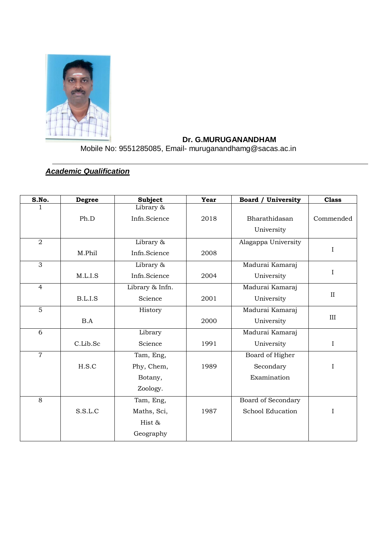

## **Dr. G.MURUGANANDHAM**

Mobile No: 9551285085, Email- muruganandhamg@sacas.ac.in

# *Academic Qualification*

| S.No.          | <b>Degree</b> | <b>Subject</b>  | <b>Year</b> | <b>Board / University</b> | <b>Class</b> |
|----------------|---------------|-----------------|-------------|---------------------------|--------------|
|                |               | Library &       |             |                           |              |
|                | Ph.D          | Infn.Science    | 2018        | Bharathidasan             | Commended    |
|                |               |                 |             | University                |              |
| $\overline{2}$ |               | Library &       |             | Alagappa University       |              |
|                | M.Phil        | Infn.Science    | 2008        |                           | $\mathbf I$  |
| 3              |               | Library &       |             | Madurai Kamaraj           |              |
|                | M.L.I.S       | Infn.Science    | 2004        | University                | $\bf{I}$     |
| $\overline{4}$ |               | Library & Infn. |             | Madurai Kamaraj           |              |
|                | B.L.I.S       | Science         | 2001        | University                | $\mathbf{I}$ |
| $\overline{5}$ |               | History         |             | Madurai Kamaraj           |              |
|                | B.A           |                 | 2000        | University                | III          |
| $\overline{6}$ |               | Library         |             | Madurai Kamaraj           |              |
|                | C.Lib.Sc      | Science         | 1991        | University                | $\bf{I}$     |
| $\overline{7}$ |               | Tam, Eng,       |             | Board of Higher           |              |
|                | H.S.C         | Phy, Chem,      | 1989        | Secondary                 | I            |
|                |               | Botany,         |             | Examination               |              |
|                |               | Zoology.        |             |                           |              |
| 8              |               | Tam, Eng,       |             | Board of Secondary        |              |
|                | S.S.L.C       | Maths, Sci,     | 1987        | School Education          | $\rm I$      |
|                |               | Hist &          |             |                           |              |
|                |               | Geography       |             |                           |              |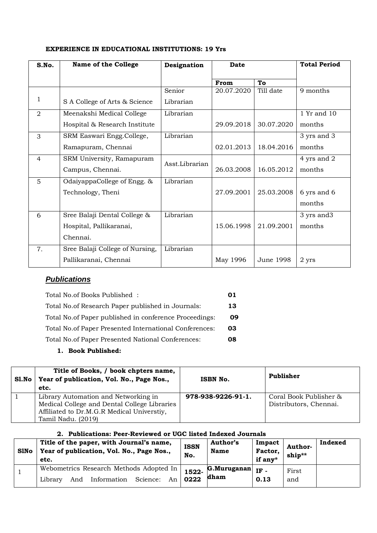| S.No.          | <b>Name of the College</b>      | Designation    | <b>Date</b> |            | <b>Total Period</b> |
|----------------|---------------------------------|----------------|-------------|------------|---------------------|
|                |                                 |                | From        | To         |                     |
|                |                                 | Senior         | 20.07.2020  | Till date  | 9 months            |
| 1              | S A College of Arts & Science   | Librarian      |             |            |                     |
| $\overline{2}$ | Meenakshi Medical College       | Librarian      |             |            | 1 Yr and 10         |
|                | Hospital & Research Institute   |                | 29.09.2018  | 30.07.2020 | months              |
| 3              | SRM Easwari Engg.College,       | Librarian      |             |            | 3 yrs and 3         |
|                | Ramapuram, Chennai              |                | 02.01.2013  | 18.04.2016 | months              |
| 4              | SRM University, Ramapuram       | Asst.Librarian |             |            | 4 yrs and 2         |
|                | Campus, Chennai.                |                | 26.03.2008  | 16.05.2012 | months              |
| 5              | OdaiyappaCollege of Engg. &     | Librarian      |             |            |                     |
|                | Technology, Theni               |                | 27.09.2001  | 25.03.2008 | 6 yrs and 6         |
|                |                                 |                |             |            | months              |
| 6              | Sree Balaji Dental College &    | Librarian      |             |            | 3 yrs and 3         |
|                | Hospital, Pallikaranai,         |                | 15.06.1998  | 21.09.2001 | months              |
|                | Chennai.                        |                |             |            |                     |
| 7.             | Sree Balaji College of Nursing, | Librarian      |             |            |                     |
|                | Pallikaranai, Chennai           |                | May 1996    | June 1998  | 2 yrs               |

## **EXPERIENCE IN EDUCATIONAL INSTITUTIONS: 19 Yrs**

# *Publications*

| Total No.of Books Published:                            | 01  |
|---------------------------------------------------------|-----|
| Total No. of Research Paper published in Journals:      | 13. |
| Total No.of Paper published in conference Proceedings:  | 09  |
| Total No. of Paper Presented International Conferences: | 03. |
| Total No.of Paper Presented National Conferences:       | 08  |

## **1. Book Published:**

| SI.No | Title of Books, / book chpters name,<br>Year of publication, Vol. No., Page Nos.,<br>etc.                                                                | ISBN No.           | Publisher                                        |
|-------|----------------------------------------------------------------------------------------------------------------------------------------------------------|--------------------|--------------------------------------------------|
|       | Library Automation and Networking in<br>Medical College and Dental College Libraries<br>Affiliated to Dr.M.G.R Medical Universtiy,<br>Tamil Nadu. (2019) | 978-938-9226-91-1. | Coral Book Publisher &<br>Distributors, Chennai. |

## **2. Publications: Peer-Reviewed or UGC listed Indexed Journals**

| <b>S1No</b> | Title of the paper, with Journal's name,<br>Year of publication, Vol. No., Page Nos.,<br>etc. | <b>ISSN</b><br>No. | <b>Author's</b><br><b>Name</b> | Impact<br>Factor,<br>if any* | Author-<br>ship** | Indexed |
|-------------|-----------------------------------------------------------------------------------------------|--------------------|--------------------------------|------------------------------|-------------------|---------|
|             | Webometrics Research Methods Adopted In                                                       | 1522-              | G.Muruganan                    | IF-                          | First             |         |
|             | Information<br>Science:<br>And<br>An<br>Library                                               | 0222               | dham                           | 0.13                         | and               |         |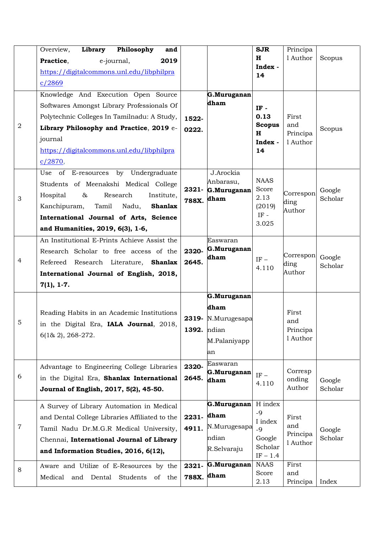|                | Library Philosophy<br>Overview,<br>and           |             |                     | <b>SJR</b>             | Principa             |                   |
|----------------|--------------------------------------------------|-------------|---------------------|------------------------|----------------------|-------------------|
|                | e-journal,<br>2019<br>Practice,                  |             |                     | H                      | 1 Author             | Scopus            |
|                | https://digitalcommons.unl.edu/libphilpra        |             |                     | Index -<br>14          |                      |                   |
|                | c/2869                                           |             |                     |                        |                      |                   |
|                | Knowledge And Execution Open Source              |             | G.Muruganan         |                        |                      |                   |
|                | Softwares Amongst Library Professionals Of       |             | dham                | $IF -$                 |                      |                   |
|                | Polytechnic Colleges In Tamilnadu: A Study,      | 1522-       |                     | 0.13                   | First                |                   |
| $\overline{2}$ | Library Philosophy and Practice, 2019 e-         | 0222.       |                     | <b>Scopus</b>          | and                  | Scopus            |
|                | journal                                          |             |                     | $\mathbf H$<br>Index - | Principa<br>1 Author |                   |
|                | https://digitalcommons.unl.edu/libphilpra        |             |                     | 14                     |                      |                   |
|                | c/2870,                                          |             |                     |                        |                      |                   |
|                | Use of E-resources by Undergraduate              |             | J.Arockia           |                        |                      |                   |
|                | Students of Meenakshi Medical College            |             | Anbarasu,           | <b>NAAS</b><br>Score   |                      |                   |
| $\mathfrak{Z}$ | Research<br>Hospital<br>&<br>Institute,          | 2321-       | G.Muruganan<br>dham | 2.13                   | Correspon            | Google<br>Scholar |
|                | Tamil<br>Kanchipuram,<br>Nadu,<br><b>Shanlax</b> | 788X.       |                     | (2019)                 | ding<br>Author       |                   |
|                | International Journal of Arts, Science           |             |                     | IF -                   |                      |                   |
|                | and Humanities, 2019, 6(3), 1-6,                 |             |                     | 3.025                  |                      |                   |
|                | An Institutional E-Prints Achieve Assist the     |             | Easwaran            |                        |                      |                   |
|                | Research Scholar to free access of the           | 2320-       | G.Muruganan         |                        | Correspon            |                   |
| 4              | Refereed Research Literature, Shanlax            | 2645.       | dham                | $IF -$                 | ding                 | Google<br>Scholar |
|                | International Journal of English, 2018,          |             |                     | 4.110                  | Author               |                   |
|                | $7(1), 1-7.$                                     |             |                     |                        |                      |                   |
|                |                                                  |             | G.Muruganan         |                        |                      |                   |
|                | Reading Habits in an Academic Institutions       |             | dham                |                        | First                |                   |
| $\overline{5}$ | in the Digital Era, IALA Journal, 2018,          | 2319-       | N.Murugesapa        |                        | and                  |                   |
|                | $6(1& 2), 268-272.$                              | 1392. ndian |                     |                        | Principa             |                   |
|                |                                                  |             | M.Palaniyapp        |                        | 1 Author             |                   |
|                |                                                  |             | an                  |                        |                      |                   |
|                | Advantage to Engineering College Libraries       | 2320-       | Easwaran            |                        | Corresp              |                   |
| 6              | in the Digital Era, Shanlax International        | 2645.       | G.Muruganan<br>dham | $IF -$<br>4.110        | onding               | Google            |
|                | Journal of English, 2017, 5(2), 45-50.           |             |                     |                        | Author               | Scholar           |
|                | A Survey of Library Automation in Medical        |             | G.Muruganan         | H index                |                      |                   |
|                | and Dental College Libraries Affiliated to the   | 2231-       | dham                | $-9$                   | First                |                   |
| $\,7$          | Tamil Nadu Dr.M.G.R Medical University,          | 4911.       | N.Murugesapa        | I index<br>$-9$        | and                  | Google            |
|                | Chennai, International Journal of Library        |             | ndian               | Google                 | Principa<br>1 Author | Scholar           |
|                | and Information Studies, 2016, 6(12),            |             | R.Selvaraju         | Scholar<br>$IF - 1.4$  |                      |                   |
|                | Aware and Utilize of E-Resources by the          | 2321-       | G.Muruganan         | <b>NAAS</b>            | First                |                   |
| 8              | Medical<br>and<br>Dental<br>Students<br>of the   | 788X. dham  |                     | Score                  | and                  |                   |
|                |                                                  |             |                     | 2.13                   | Principa             | Index             |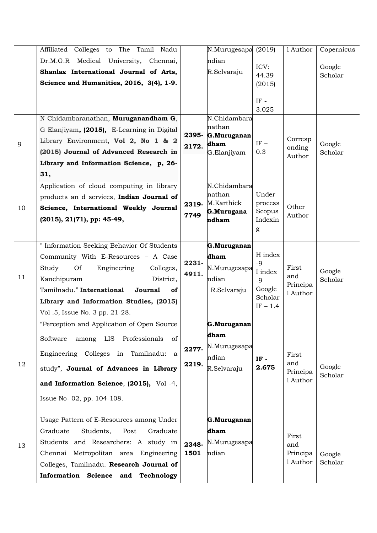|    | Affiliated Colleges to The Tamil Nadu                                         |                | N.Murugesapa (2019)    |                       | 1 Author                             | Copernicus        |
|----|-------------------------------------------------------------------------------|----------------|------------------------|-----------------------|--------------------------------------|-------------------|
|    | Dr.M.G.R Medical University, Chennai,                                         |                | ndian                  |                       |                                      |                   |
|    | Shanlax International Journal of Arts,                                        |                | R.Selvaraju            | ICV:                  |                                      | Google            |
|    | Science and Humanities, 2016, 3(4), 1-9.                                      |                |                        | 44.39<br>(2015)       |                                      | Scholar           |
|    |                                                                               |                |                        |                       |                                      |                   |
|    |                                                                               |                |                        | $\rm IF$ -            |                                      |                   |
|    | N Chidambaranathan, Muruganandham G,                                          |                | N.Chidambara           | 3.025                 |                                      |                   |
|    |                                                                               |                | nathan                 |                       |                                      |                   |
|    | G Elanjiyam, (2015), E-Learning in Digital                                    | 2395-          | G.Muruganan            |                       | Corresp                              |                   |
| 9  | Library Environment, Vol 2, No 1 & 2                                          | 2172.          | dham                   | $\mathrm{IF}-$        | onding                               | Google            |
|    | (2015) Journal of Advanced Research in                                        |                | G.Elanjiyam            | 0.3                   | Author                               | Scholar           |
|    | Library and Information Science, p, 26-                                       |                |                        |                       |                                      |                   |
|    | 31,                                                                           |                |                        |                       |                                      |                   |
|    | Application of cloud computing in library                                     |                | N.Chidambara<br>nathan | Under                 |                                      |                   |
|    | products an d services, Indian Journal of                                     | 2319-          | M.Karthick             | process               | Other<br>Author                      |                   |
| 10 | Science, International Weekly Journal                                         | 7749           | G.Murugana             | Scopus                |                                      |                   |
|    | (2015), 21(71), pp: 45-49,                                                    |                | ndham                  | Indexin               |                                      |                   |
|    |                                                                               |                |                        | g                     |                                      |                   |
|    | " Information Seeking Behavior Of Students                                    |                | G.Muruganan            |                       |                                      |                   |
|    | Community With E-Resources - A Case                                           |                | dham                   | H index               |                                      |                   |
|    | Study<br><b>Of</b><br>Engineering<br>Colleges,                                | 2231-<br>4911. | N.Murugesapa           | $-9$<br>I index       | First<br>and<br>Principa<br>1 Author | Google<br>Scholar |
| 11 | Kanchipuram<br>District,                                                      |                | ndian                  | $-9$<br>Google        |                                      |                   |
|    | Tamilnadu." International<br>Journal<br>of                                    |                | R.Selvaraju            |                       |                                      |                   |
|    | Library and Information Studies, (2015)                                       |                |                        | Scholar<br>$IF - 1.4$ |                                      |                   |
|    | Vol.5, Issue No. 3 pp. 21-28.                                                 |                |                        |                       |                                      |                   |
|    | "Perception and Application of Open Source"                                   |                | G.Muruganan            |                       |                                      |                   |
|    | among LIS Professionals<br>Software<br>of                                     |                | dham                   |                       |                                      |                   |
|    |                                                                               | 2277-          | N.Murugesapa           |                       |                                      |                   |
|    | Engineering Colleges in Tamilnadu: a                                          |                | ndian                  | IF -                  | First                                |                   |
| 12 | study", Journal of Advances in Library                                        | 2219.          | R.Selvaraju            | 2.675                 | and<br>Principa                      | Google            |
|    | and Information Science, (2015), Vol -4,                                      |                |                        |                       | 1 Author                             | Scholar           |
|    |                                                                               |                |                        |                       |                                      |                   |
|    | Issue No-02, pp. 104-108.                                                     |                |                        |                       |                                      |                   |
|    | Usage Pattern of E-Resources among Under                                      |                | G.Muruganan            |                       |                                      |                   |
|    |                                                                               |                | dham                   |                       |                                      |                   |
|    | Graduate<br>Students,<br>Graduate<br>Post                                     |                | N.Murugesapa           |                       | First                                |                   |
| 13 | Students and Researchers: A study in<br>Chennai Metropolitan area Engineering | 2348-<br>1501  | ndian                  |                       | and<br>Principa                      |                   |
|    | Colleges, Tamilnadu. Research Journal of                                      |                |                        |                       | 1 Author                             | Google<br>Scholar |
|    |                                                                               |                |                        |                       |                                      |                   |
|    | Information Science and Technology                                            |                |                        |                       |                                      |                   |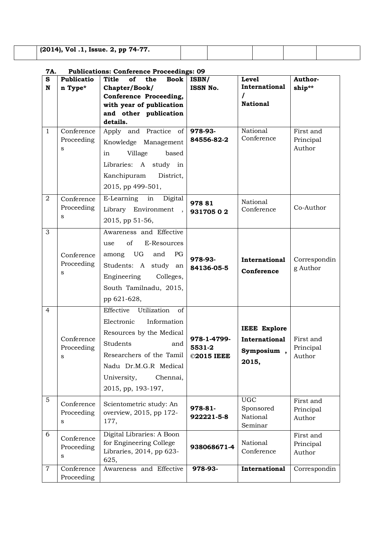| (2014), Vol.1, Issue. 2, pp 74-77. |  |  |  |
|------------------------------------|--|--|--|
|                                    |  |  |  |

#### **7A. Publications: Conference Proceedings: 09**

| S              | <b>Publicatio</b> | <b>Title</b><br><b>Book</b><br><b>of</b><br>the     | ISBN/               | <b>Level</b>            | Author-             |
|----------------|-------------------|-----------------------------------------------------|---------------------|-------------------------|---------------------|
| $\mathbf N$    | n Type*           | Chapter/Book/                                       | <b>ISSN No.</b>     | International           | ship**              |
|                |                   | Conference Proceeding,                              |                     | <b>National</b>         |                     |
|                |                   | with year of publication<br>and other publication   |                     |                         |                     |
|                |                   | details.                                            |                     |                         |                     |
| $\mathbf{1}$   | Conference        | Apply and Practice of                               | 978-93-             | National                | First and           |
|                | Proceeding        | Knowledge Management                                | 84556-82-2          | Conference              | Principal           |
|                | S                 | Village<br>based<br>in                              |                     |                         | Author              |
|                |                   | Libraries: A study in                               |                     |                         |                     |
|                |                   | Kanchipuram District,                               |                     |                         |                     |
|                |                   | 2015, pp 499-501,                                   |                     |                         |                     |
| $\overline{2}$ | Conference        | E-Learning in Digital                               |                     | National                |                     |
|                | Proceeding        | Library Environment,                                | 978 81<br>931705 02 | Conference              | Co-Author           |
|                | S                 | 2015, pp 51-56,                                     |                     |                         |                     |
| 3              |                   | Awareness and Effective                             |                     |                         |                     |
|                |                   | of<br>E-Resources<br>use                            |                     |                         |                     |
|                | Conference        | among UG<br>and<br>PG                               |                     |                         |                     |
|                | Proceeding        | Students: A study an                                | 978-93-             | International           | Correspondin        |
|                | S                 | Engineering Colleges,                               | 84136-05-5          | Conference              | g Author            |
|                |                   | South Tamilnadu, 2015,                              |                     |                         |                     |
|                |                   | pp 621-628,                                         |                     |                         |                     |
| $\overline{4}$ |                   | Utilization<br>Effective<br>of                      |                     |                         |                     |
|                |                   | Information<br>Electronic                           |                     |                         |                     |
|                |                   |                                                     |                     | <b>IEEE Explore</b>     |                     |
|                | Conference        | Resources by the Medical<br>Students                | 978-1-4799-         | <b>International</b>    | First and           |
|                | Proceeding        | and                                                 | 5531-2              | Symposium,              | Principal           |
|                | S                 | Researchers of the Tamil                            | ©2015 IEEE          | 2015,                   | Author              |
|                |                   | Nadu Dr.M.G.R Medical                               |                     |                         |                     |
|                |                   | University,<br>Chennai,                             |                     |                         |                     |
|                |                   | 2015, pp, 193-197,                                  |                     |                         |                     |
| 5              | Conference        | Scientometric study: An                             | 978-81-             | <b>UGC</b><br>Sponsored | First and           |
|                | Proceeding        | overview, 2015, pp 172-                             | 922221-5-8          | National                | Principal<br>Author |
|                | S                 | 177,                                                |                     | Seminar                 |                     |
| 6              | Conference        | Digital Libraries: A Boon                           |                     |                         | First and           |
|                | Proceeding        | for Engineering College<br>Libraries, 2014, pp 623- | 938068671-4         | National<br>Conference  | Principal           |
|                | S                 | 625,                                                |                     |                         | Author              |
| $\overline{7}$ | Conference        | Awareness and Effective                             | 978-93-             | International           | Correspondin        |
|                | Proceeding        |                                                     |                     |                         |                     |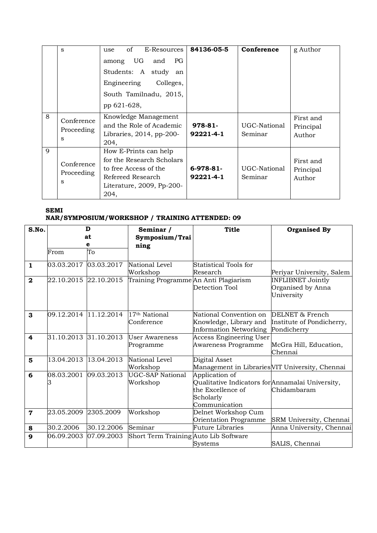|   | S                             | of<br>E-Resources<br>use<br>UG<br>PG<br>among<br>and<br>Students: A study<br>an<br>Engineering<br>Colleges,<br>South Tamilnadu, 2015,<br>pp 621-628, | 84136-05-5               | Conference              | g Author                         |
|---|-------------------------------|------------------------------------------------------------------------------------------------------------------------------------------------------|--------------------------|-------------------------|----------------------------------|
| 8 | Conference<br>Proceeding<br>S | Knowledge Management<br>and the Role of Academic<br>Libraries, $2014$ , pp- $200$<br>204,                                                            | $978-81-$<br>92221-4-1   | UGC-National<br>Seminar | First and<br>Principal<br>Author |
| 9 | Conference<br>Proceeding<br>S | How E-Prints can help<br>for the Research Scholars<br>to free Access of the<br>Refereed Research<br>Literature, 2009, Pp-200-<br>204,                | $6-978-81-$<br>92221-4-1 | UGC-National<br>Seminar | First and<br>Principal<br>Author |

## **SEMI NAR/SYMPOSIUM/WORKSHOP / TRAINING ATTENDED: 09**

| S.No.          |                       | D<br>at    | Seminar /<br>Symposium/Trai             | <b>Title</b>                                                                                                          | <b>Organised By</b>                                         |
|----------------|-----------------------|------------|-----------------------------------------|-----------------------------------------------------------------------------------------------------------------------|-------------------------------------------------------------|
|                |                       | е          | ning                                    |                                                                                                                       |                                                             |
|                | From                  | To         |                                         |                                                                                                                       |                                                             |
| $\mathbf{1}$   | 03.03.2017 03.03.2017 |            | National Level<br>Workshop              | Statistical Tools for<br>Research                                                                                     | Periyar University, Salem                                   |
| $\overline{2}$ | 22.10.2015 22.10.2015 |            | Training Programme An Anti Plagiarism   | Detection Tool                                                                                                        | <b>INFLIBNET Jointly</b><br>Organised by Anna<br>University |
| 3              |                       |            | 17 <sup>th</sup> National<br>Conference | National Convention on<br>Knowledge, Library and<br>Information Networking                                            | DELNET & French<br>Institute of Pondicherry,<br>Pondicherry |
| 4              | 31.10.2013 31.10.2013 |            | <b>User Awareness</b><br>Programme      | Access Engineering User<br>Awareness Programme                                                                        | McGra Hill, Education,<br>Chennai                           |
| 5              | 13.04.2013            | 13.04.2013 | National Level<br>Workshop              | Digital Asset<br>Management in Libraries VIT University, Chennai                                                      |                                                             |
| 6              | 08.03.2001            | 09.03.2013 | <b>UGC-SAP National</b><br>Workshop     | Application of<br>Qualitative Indicators for Annamalai University,<br>the Excellence of<br>Scholarly<br>Communication | Chidambaram                                                 |
| $\overline{7}$ | 23.05.2009 2305.2009  |            | Workshop                                | Delnet Workshop Cum<br>Orientation Programme                                                                          | SRM University, Chennai                                     |
| 8              | 30.2.2006             | 30.12.2006 | Seminar                                 | <b>Future Libraries</b>                                                                                               | Anna University, Chennai                                    |
| 9              | 06.09.2003 07.09.2003 |            | Short Term Training Auto Lib Software   | Systems                                                                                                               | SALIS, Chennai                                              |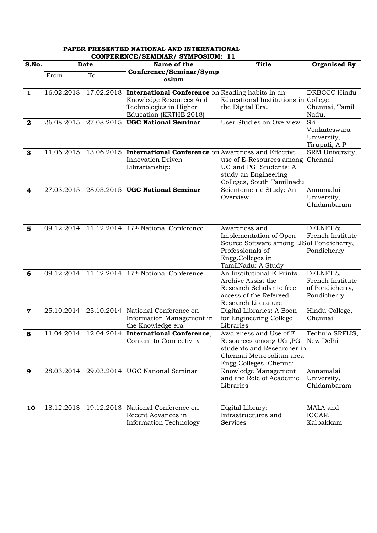#### **PAPER PRESENTED NATIONAL AND INTERNATIONAL CONFERENCE/SEMINAR/ SYMPOSIUM: 11**

| S.No.          |            |            | <b>Date</b><br>Name of the                                 |                                           | <b>Organised By</b> |
|----------------|------------|------------|------------------------------------------------------------|-------------------------------------------|---------------------|
|                |            |            | Conference/Seminar/Symp                                    | <b>Title</b>                              |                     |
|                | From       | To         | osium                                                      |                                           |                     |
|                |            |            |                                                            |                                           |                     |
| $\mathbf{1}$   | 16.02.2018 | 17.02.2018 | International Conference on Reading habits in an           |                                           | <b>DRBCCC Hindu</b> |
|                |            |            | Knowledge Resources And                                    | Educational Institutions in College,      |                     |
|                |            |            | Technologies in Higher                                     | the Digital Era.                          | Chennai, Tamil      |
|                |            |            | Education (KRTHE 2018)                                     |                                           | Nadu.               |
| $\mathbf{2}$   | 26.08.2015 | 27.08.2015 | <b>UGC National Seminar</b>                                | User Studies on Overview                  | Sri                 |
|                |            |            |                                                            |                                           | Venkateswara        |
|                |            |            |                                                            |                                           | University,         |
|                |            |            |                                                            |                                           | Tirupati, A.P       |
| 3              | 11.06.2015 | 13.06.2015 | <b>International Conference</b> on Awareness and Effective |                                           | SRM University,     |
|                |            |            | <b>Innovation Driven</b>                                   | use of E-Resources among                  | Chennai             |
|                |            |            | Librarianship:                                             | UG and PG Students: A                     |                     |
|                |            |            |                                                            | study an Engineering                      |                     |
|                |            |            |                                                            | Colleges, South Tamilnadu                 |                     |
| 4              | 27.03.2015 | 28.03.2015 | <b>UGC National Seminar</b>                                | Scientometric Study: An                   | Annamalai           |
|                |            |            |                                                            | Overview                                  | University,         |
|                |            |            |                                                            |                                           | Chidambaram         |
|                |            |            |                                                            |                                           |                     |
|                |            |            |                                                            |                                           |                     |
| 5              | 09.12.2014 | 11.12.2014 | 17 <sup>th</sup> National Conference                       | Awareness and                             | DELNET&             |
|                |            |            |                                                            | Implementation of Open                    | French Institute    |
|                |            |            |                                                            | Source Software among LIS of Pondicherry, |                     |
|                |            |            |                                                            | Professionals of                          | Pondicherry         |
|                |            |            |                                                            | Engg.Colleges in                          |                     |
|                |            |            |                                                            | TamilNadu: A Study                        |                     |
| 6              | 09.12.2014 | 11.12.2014 | 17 <sup>th</sup> National Conference                       | An Institutional E-Prints                 | DELNET&             |
|                |            |            |                                                            | Archive Assist the                        | French Institute    |
|                |            |            |                                                            | Research Scholar to free                  | of Pondicherry,     |
|                |            |            |                                                            | access of the Refereed                    | Pondicherry         |
|                |            |            |                                                            | Research Literature                       |                     |
| $\overline{7}$ | 25.10.2014 | 25.10.2014 | National Conference on                                     | Digital Libraries: A Boon                 | Hindu College,      |
|                |            |            | Information Management in                                  | for Engineering College                   | Chennai             |
|                |            |            | the Knowledge era                                          | Libraries                                 |                     |
| 8              | 11.04.2014 | 12.04.2014 | <b>International Conference,</b>                           | Awareness and Use of E-                   | Technia SRFLIS,     |
|                |            |            | Content to Connectivity                                    | Resources among UG, PG                    | New Delhi           |
|                |            |            |                                                            | students and Researcher in                |                     |
|                |            |            |                                                            | Chennai Metropolitan area                 |                     |
|                |            |            |                                                            | Engg.Colleges, Chennai                    |                     |
| 9              | 28.03.2014 | 29.03.2014 | <b>UGC National Seminar</b>                                | Knowledge Management                      | Annamalai           |
|                |            |            |                                                            | and the Role of Academic                  | University,         |
|                |            |            |                                                            | Libraries                                 | Chidambaram         |
|                |            |            |                                                            |                                           |                     |
|                |            |            |                                                            |                                           |                     |
| 10             | 18.12.2013 | 19.12.2013 | National Conference on                                     | Digital Library:                          | MALA and            |
|                |            |            | Recent Advances in                                         | Infrastructures and                       | IGCAR,              |
|                |            |            | Information Technology                                     | Services                                  | Kalpakkam           |
|                |            |            |                                                            |                                           |                     |
|                |            |            |                                                            |                                           |                     |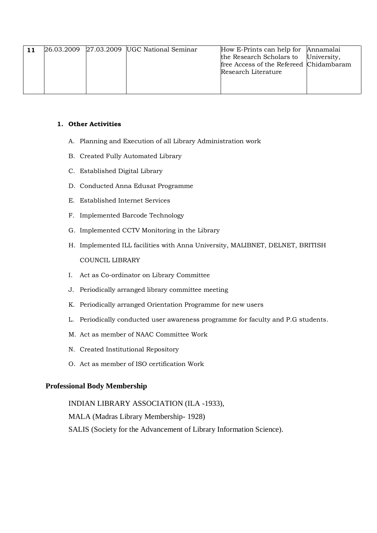|  | 26.03.2009 27.03.2009 UGC National Seminar | How E-Prints can help for Annamalai     |  |
|--|--------------------------------------------|-----------------------------------------|--|
|  |                                            | the Research Scholars to University,    |  |
|  |                                            | free Access of the Refereed Chidambaram |  |
|  |                                            | Research Literature                     |  |
|  |                                            |                                         |  |
|  |                                            |                                         |  |
|  |                                            |                                         |  |

#### **1. Other Activities**

- A. Planning and Execution of all Library Administration work
- B. Created Fully Automated Library
- C. Established Digital Library
- D. Conducted Anna Edusat Programme
- E. Established Internet Services
- F. Implemented Barcode Technology
- G. Implemented CCTV Monitoring in the Library
- H. Implemented ILL facilities with Anna University, MALIBNET, DELNET, BRITISH COUNCIL LIBRARY
- I. Act as Co-ordinator on Library Committee
- J. Periodically arranged library committee meeting
- K. Periodically arranged Orientation Programme for new users
- L. Periodically conducted user awareness programme for faculty and P.G students.
- M. Act as member of NAAC Committee Work
- N. Created Institutional Repository
- O. Act as member of ISO certification Work

### **Professional Body Membership**

INDIAN LIBRARY ASSOCIATION (ILA -1933), MALA (Madras Library Membership- 1928) SALIS (Society for the Advancement of Library Information Science).